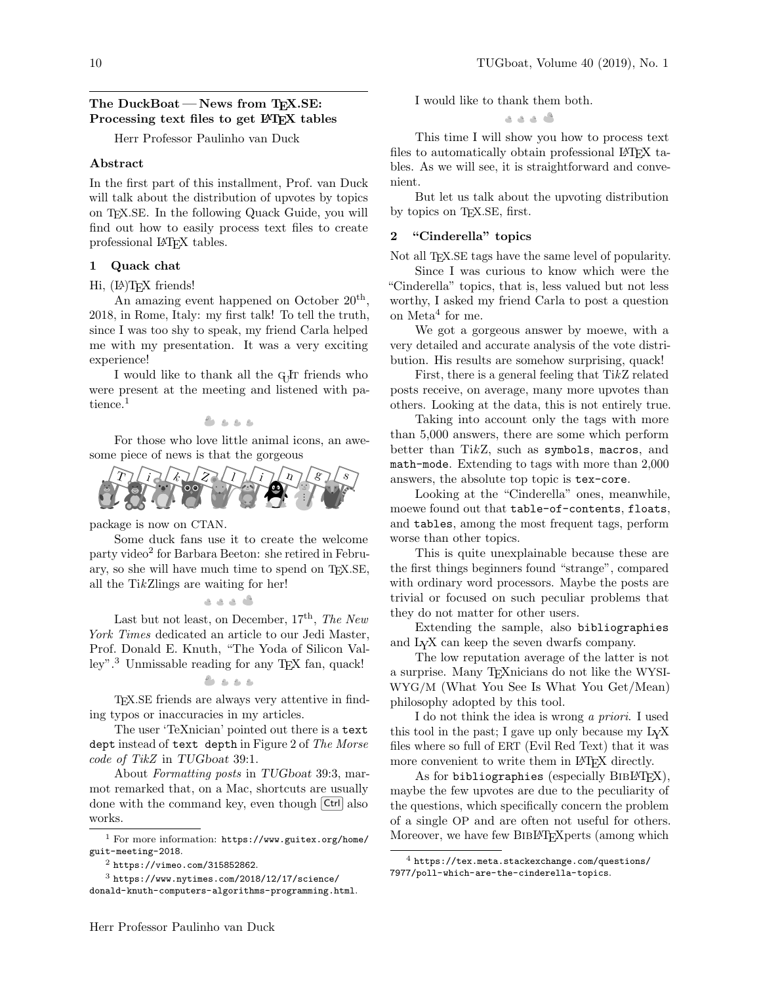# The DuckBoat – News from TFX.SE: Processing text files to get LATEX tables

Herr Professor Paulinho van Duck

## Abstract

In the first part of this installment, Prof. van Duck will talk about the distribution of upvotes by topics on TEX.SE. In the following Quack Guide, you will find out how to easily process text files to create professional LATEX tables.

## 1 Quack chat

#### Hi, (P)T<sub>F</sub>X friends!

An amazing event happened on October  $20<sup>th</sup>$ , 2018, in Rome, Italy: my first talk! To tell the truth, since I was too shy to speak, my friend Carla helped me with my presentation. It was a very exciting experience!

I would like to thank all the G<sub>U</sub>T friends who were present at the meeting and listened with pa-tience.<sup>[1](#page-0-0)</sup>

 $8.888$ 

For those who love little animal icons, an awesome piece of news is that the gorgeous



package is now on CTAN.

Some duck fans use it to create the welcome party video<sup>[2](#page-0-1)</sup> for Barbara Beeton: she retired in February, so she will have much time to spend on TEX.SE, all the TikZlings are waiting for her!

## 0 ه ه ه ه

Last but not least, on December,  $17<sup>th</sup>$ , The New York Times dedicated an article to our Jedi Master, Prof. Donald E. Knuth, "The Yoda of Silicon Valley".[3](#page-0-2) Unmissable reading for any TEX fan, quack!

 $8.888$ 

TEX.SE friends are always very attentive in finding typos or inaccuracies in my articles.

The user 'TeXnician' pointed out there is a text dept instead of text depth in Figure 2 of The Morse code of TikZ in TUGboat 39:1.

About Formatting posts in TUGboat 39:3, marmot remarked that, on a Mac, shortcuts are usually done with the command key, even though  $|\text{Ctrl}|$  also works.

I would like to thank them both.

" ممدم

This time I will show you how to process text files to automatically obtain professional LAT<sub>EX</sub> tables. As we will see, it is straightforward and convenient.

But let us talk about the upvoting distribution by topics on T<sub>EX</sub>.SE, first.

#### 2 "Cinderella" topics

Not all T<sub>EX</sub>.SE tags have the same level of popularity.

Since I was curious to know which were the "Cinderella" topics, that is, less valued but not less worthy, I asked my friend Carla to post a question on Meta<sup>[4](#page-0-3)</sup> for me.

We got a gorgeous answer by moewe, with a very detailed and accurate analysis of the vote distribution. His results are somehow surprising, quack!

First, there is a general feeling that  $TikZ$  related posts receive, on average, many more upvotes than others. Looking at the data, this is not entirely true.

Taking into account only the tags with more than 5,000 answers, there are some which perform better than TikZ, such as symbols, macros, and math-mode. Extending to tags with more than 2,000 answers, the absolute top topic is tex-core.

Looking at the "Cinderella" ones, meanwhile, moewe found out that table-of-contents, floats, and tables, among the most frequent tags, perform worse than other topics.

This is quite unexplainable because these are the first things beginners found "strange", compared with ordinary word processors. Maybe the posts are trivial or focused on such peculiar problems that they do not matter for other users.

Extending the sample, also bibliographies and LYX can keep the seven dwarfs company.

The low reputation average of the latter is not a surprise. Many TEXnicians do not like the WYSI-WYG/M (What You See Is What You Get/Mean) philosophy adopted by this tool.

I do not think the idea is wrong a priori. I used this tool in the past; I gave up only because my LYX files where so full of ERT (Evil Red Text) that it was more convenient to write them in LAT<sub>EX</sub> directly.

As for bibliographies (especially  $BIBI\rightarrow X$ ), maybe the few upvotes are due to the peculiarity of the questions, which specifically concern the problem of a single OP and are often not useful for others. Moreover, we have few BIBLAT<sub>EX</sub> perts (among which

<span id="page-0-0"></span><sup>1</sup> For more information: [https://www.guitex.org/home/](https://www.guitex.org/home/guit-meeting-2018) [guit-meeting-2018](https://www.guitex.org/home/guit-meeting-2018).

<span id="page-0-2"></span><span id="page-0-1"></span><sup>2</sup> <https://vimeo.com/315852862>.

 $3$  [https://www.nytimes.com/2018/12/17/science/](https://www.nytimes.com/2018/12/17/science/donald-knuth-computers-algorithms-programming.html) [donald-knuth-computers-algorithms-programming.html](https://www.nytimes.com/2018/12/17/science/donald-knuth-computers-algorithms-programming.html).

<span id="page-0-3"></span><sup>4</sup> [https://tex.meta.stackexchange.com/questions/](https://tex.meta.stackexchange.com/questions/7977/poll-which-are-the-cinderella-topics) [7977/poll-which-are-the-cinderella-topics](https://tex.meta.stackexchange.com/questions/7977/poll-which-are-the-cinderella-topics).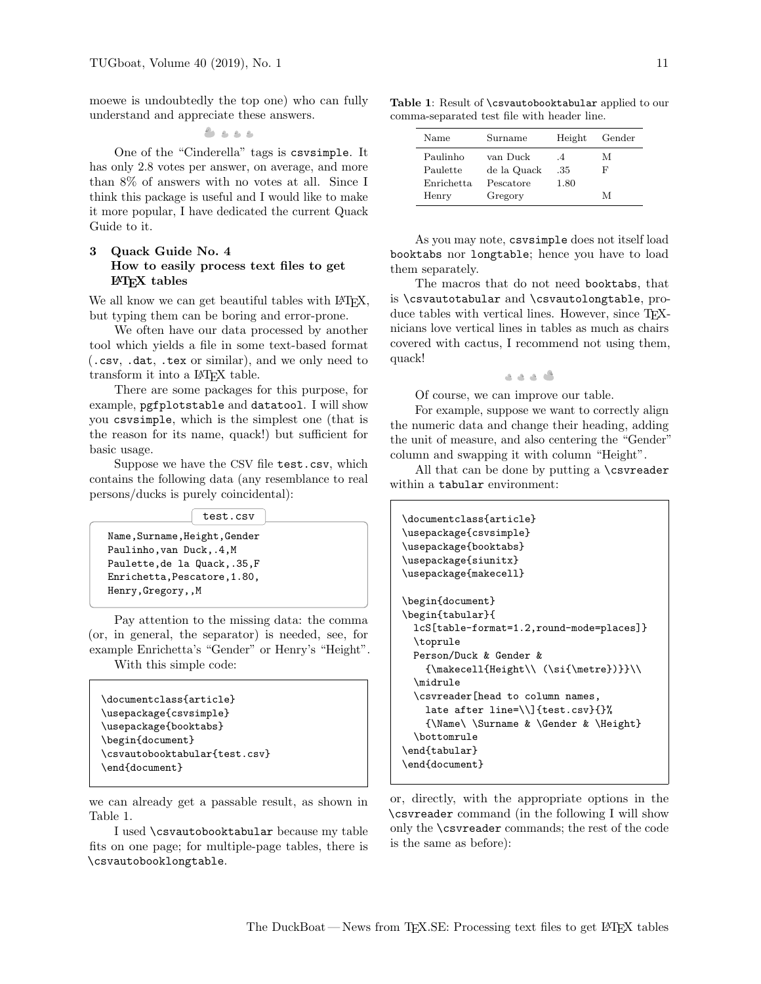moewe is undoubtedly the top one) who can fully understand and appreciate these answers.

 $2.222$ 

One of the "Cinderella" tags is csvsimple. It has only 2.8 votes per answer, on average, and more than 8% of answers with no votes at all. Since I think this package is useful and I would like to make it more popular, I have dedicated the current Quack Guide to it.

# 3 Quack Guide No. 4 How to easily process text files to get LATEX tables

We all know we can get beautiful tables with LAT<sub>EX</sub>, but typing them can be boring and error-prone.

We often have our data processed by another tool which yields a file in some text-based format (.csv, .dat, .tex or similar), and we only need to transform it into a IAT<sub>F</sub>X table.

There are some packages for this purpose, for example, pgfplotstable and datatool. I will show you csvsimple, which is the simplest one (that is the reason for its name, quack!) but sufficient for basic usage.

Suppose we have the CSV file test.csv, which contains the following data (any resemblance to real persons/ducks is purely coincidental):

test.csv

Name,Surname,Height,Gender Paulinho,van Duck,.4,M Paulette,de la Quack,.35,F Enrichetta,Pescatore,1.80, Henry,Gregory,,M

Pay attention to the missing data: the comma (or, in general, the separator) is needed, see, for example Enrichetta's "Gender" or Henry's "Height". With this simple code:

```
\documentclass{article}
\usepackage{csvsimple}
\usepackage{booktabs}
\begin{document}
\csvautobooktabular{test.csv}
\end{document}
```
we can already get a passable result, as shown in Table [1.](#page-1-0)

I used \csvautobooktabular because my table fits on one page; for multiple-page tables, there is \csvautobooklongtable.

<span id="page-1-0"></span>Table 1: Result of \csvautobooktabular applied to our comma-separated test file with header line.

| Name       | Surname     | Height        | Gender |
|------------|-------------|---------------|--------|
| Paulinho   | van Duck    | $\mathcal{A}$ | М      |
| Paulette   | de la Quack | .35           | F      |
| Enrichetta | Pescatore   | 1.80          |        |
| Henry      | Gregory     |               | М      |

As you may note, csvsimple does not itself load booktabs nor longtable; hence you have to load them separately.

The macros that do not need booktabs, that is \csvautotabular and \csvautolongtable, produce tables with vertical lines. However, since TFXnicians love vertical lines in tables as much as chairs covered with cactus, I recommend not using them, quack!

. . . .

Of course, we can improve our table.

For example, suppose we want to correctly align the numeric data and change their heading, adding the unit of measure, and also centering the "Gender" column and swapping it with column "Height".

All that can be done by putting a \csvreader within a tabular environment:

```
\documentclass{article}
\usepackage{csvsimple}
\usepackage{booktabs}
\usepackage{siunitx}
\usepackage{makecell}
\begin{document}
\begin{tabular}{
  lcS[table-format=1.2,round-mode=places]}
  \toprule
  Person/Duck & Gender &
    {\makecell{Height\\ (\si{\metre})}}\\
  \midrule
  \csvreader[head to column names,
    late after line=\\]{test.csv}{}%
    {\Name\ \Surname & \Gender & \Height}
  \bottomrule
\end{tabular}
\end{document}
```
or, directly, with the appropriate options in the \csvreader command (in the following I will show only the \csvreader commands; the rest of the code is the same as before):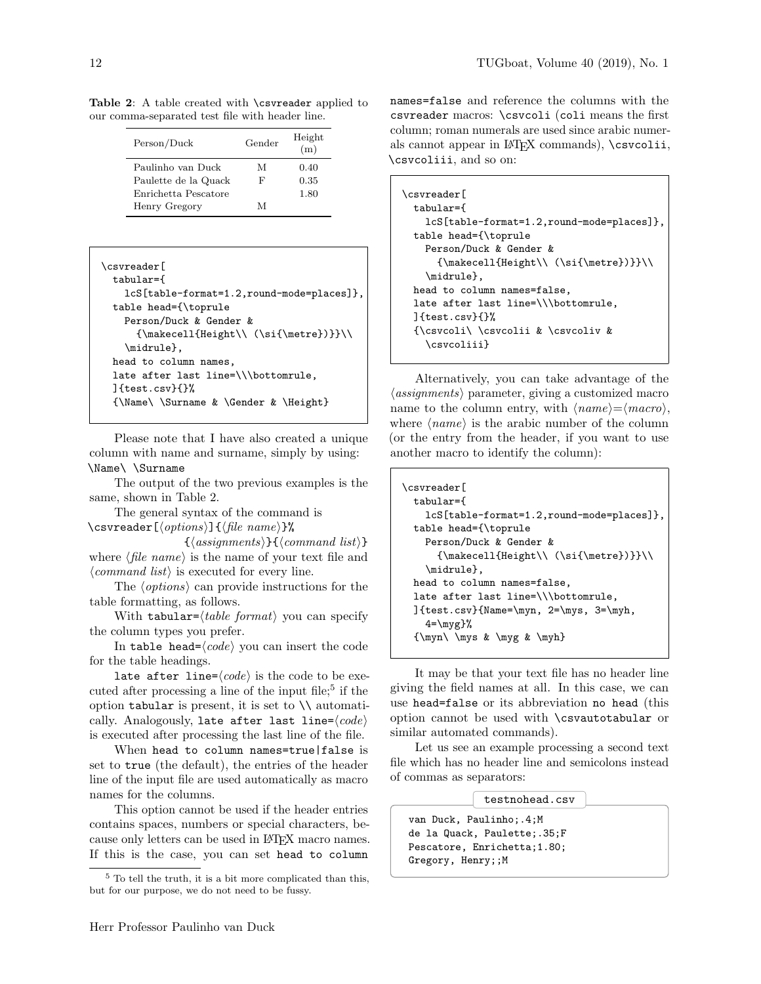<span id="page-2-0"></span>Table 2: A table created with \csvreader applied to our comma-separated test file with header line.

| Person/Duck          | Gender | Height<br>(m) |
|----------------------|--------|---------------|
| Paulinho van Duck    | М      | 0.40          |
| Paulette de la Quack | F      | 0.35          |
| Enrichetta Pescatore |        | 1.80          |
| Henry Gregory        | M      |               |

```
\csvreader[
 tabular={
   lcS[table-format=1.2,round-mode=places]},
 table head={\toprule
   Person/Duck & Gender &
      {\mathsf{H\eq}(\mathcal{N})}}\\midrule},
 head to column names,
 late after last line=\\\bottomrule,
 ]{test.csv}{}%
 {\Name\ \Surname & \Gender & \Height}
```
Please note that I have also created a unique column with name and surname, simply by using: \Name\ \Surname

The output of the two previous examples is the same, shown in Table [2.](#page-2-0)

The general syntax of the command is \csvreader[ $\langle options \rangle$ ]{ $\langle file \ name \rangle$ }%

 $\{\langle assignments\rangle\}\{\langle command list\rangle\}$ where  $\langle$  file name $\rangle$  is the name of your text file and  $\langle command \; list \rangle$  is executed for every line.

The  $\langle options \rangle$  can provide instructions for the table formatting, as follows.

With tabular= $\langle table \; format \rangle$  you can specify the column types you prefer.

In table head= $\langle code \rangle$  you can insert the code for the table headings.

late after line= $\langle code \rangle$  is the code to be exe-cuted after processing a line of the input file;<sup>[5](#page-2-1)</sup> if the option tabular is present, it is set to  $\setminus \setminus$  automatically. Analogously, late after last line= $\langle code \rangle$ is executed after processing the last line of the file.

When head to column names=true|false is set to true (the default), the entries of the header line of the input file are used automatically as macro names for the columns.

This option cannot be used if the header entries contains spaces, numbers or special characters, because only letters can be used in LATEX macro names. If this is the case, you can set head to column

names=false and reference the columns with the csvreader macros: \csvcoli (coli means the first column; roman numerals are used since arabic numerals cannot appear in LATEX commands), \csvcolii, \csvcoliii, and so on:

```
\csvreader[
 tabular={
   lcS[table-format=1.2,round-mode=places]},
 table head={\toprule
   Person/Duck & Gender &
     {\mathsf{Height}\ \ (\sif{\metric}\ )}\midrule},
 head to column names=false,
 late after last line=\\\bottomrule,
 ]{test.csv}{}%
 {\csvcoli\ \csvcolii & \csvcoliv &
   \csvcoliii}
```
Alternatively, you can take advantage of the  $\langle assignments \rangle$  parameter, giving a customized macro name to the column entry, with  $\langle name \rangle = \langle macro \rangle$ , where  $\langle name \rangle$  is the arabic number of the column (or the entry from the header, if you want to use another macro to identify the column):

```
\csvreader[
 tabular={
    lcS[table-format=1.2,round-mode=places]},
 table head={\toprule
   Person/Duck & Gender &
      {\makecell{Height\\ (\si{\metre})}}\\
    \midrule},
 head to column names=false,
 late after last line=\\\bottomrule,
 ]{test.csv}{Name=\myn, 2=\mys, 3=\myh,
    4=\myg}%
 {\myn\ \mys & \myg & \myh}
```
It may be that your text file has no header line giving the field names at all. In this case, we can use head=false or its abbreviation no head (this option cannot be used with \csvautotabular or similar automated commands).

Let us see an example processing a second text file which has no header line and semicolons instead of commas as separators:

testnohead.csv

van Duck, Paulinho;.4;M de la Quack, Paulette;.35;F Pescatore, Enrichetta;1.80; Gregory, Henry;;M

<span id="page-2-1"></span><sup>5</sup> To tell the truth, it is a bit more complicated than this, but for our purpose, we do not need to be fussy.